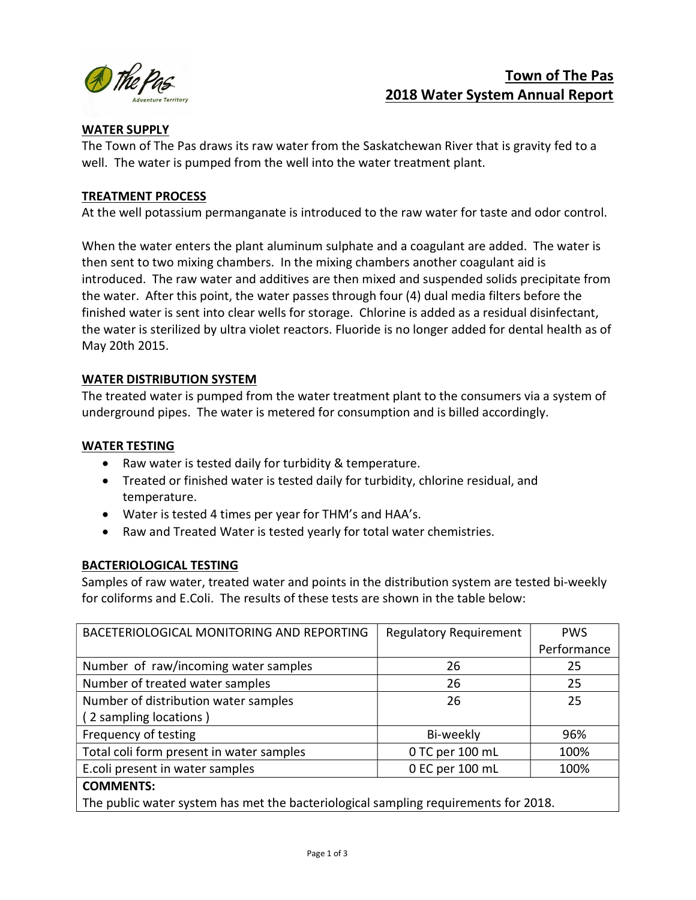

# Town of The Pas 2018 Water System Annual Report

## WATER SUPPLY

The Town of The Pas draws its raw water from the Saskatchewan River that is gravity fed to a well. The water is pumped from the well into the water treatment plant.

## TREATMENT PROCESS

At the well potassium permanganate is introduced to the raw water for taste and odor control.

When the water enters the plant aluminum sulphate and a coagulant are added. The water is then sent to two mixing chambers. In the mixing chambers another coagulant aid is introduced. The raw water and additives are then mixed and suspended solids precipitate from the water. After this point, the water passes through four (4) dual media filters before the finished water is sent into clear wells for storage. Chlorine is added as a residual disinfectant, the water is sterilized by ultra violet reactors. Fluoride is no longer added for dental health as of May 20th 2015.

## WATER DISTRIBUTION SYSTEM

The treated water is pumped from the water treatment plant to the consumers via a system of underground pipes. The water is metered for consumption and is billed accordingly.

## WATER TESTING

- Raw water is tested daily for turbidity & temperature.
- Treated or finished water is tested daily for turbidity, chlorine residual, and temperature.
- Water is tested 4 times per year for THM's and HAA's.
- Raw and Treated Water is tested yearly for total water chemistries.

## BACTERIOLOGICAL TESTING

Samples of raw water, treated water and points in the distribution system are tested bi-weekly for coliforms and E.Coli. The results of these tests are shown in the table below:

| BACETERIOLOGICAL MONITORING AND REPORTING                                           | <b>Regulatory Requirement</b> | <b>PWS</b>  |  |  |
|-------------------------------------------------------------------------------------|-------------------------------|-------------|--|--|
|                                                                                     |                               | Performance |  |  |
| Number of raw/incoming water samples                                                | 26                            | 25          |  |  |
| Number of treated water samples                                                     | 26                            | 25          |  |  |
| Number of distribution water samples                                                | 26                            | 25          |  |  |
| (2 sampling locations)                                                              |                               |             |  |  |
| Frequency of testing                                                                | Bi-weekly                     | 96%         |  |  |
| Total coli form present in water samples                                            | 0 TC per 100 mL               | 100%        |  |  |
| E.coli present in water samples                                                     | 0 EC per 100 mL               | 100%        |  |  |
| <b>COMMENTS:</b>                                                                    |                               |             |  |  |
| The public water system has met the bacteriological sampling requirements for 2018. |                               |             |  |  |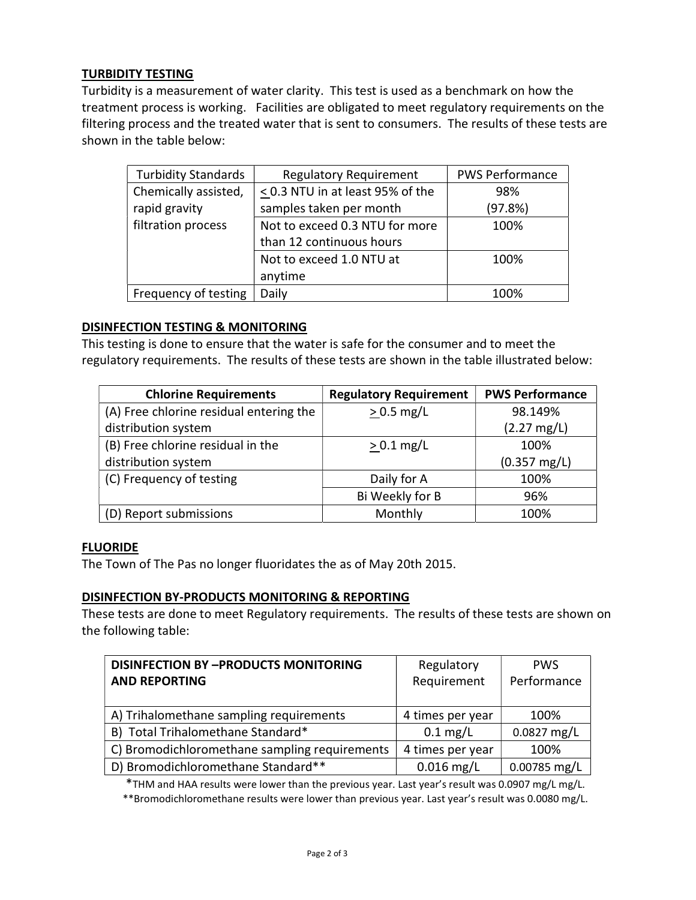# TURBIDITY TESTING

Turbidity is a measurement of water clarity. This test is used as a benchmark on how the treatment process is working. Facilities are obligated to meet regulatory requirements on the filtering process and the treated water that is sent to consumers. The results of these tests are shown in the table below:

| <b>Turbidity Standards</b> | <b>Regulatory Requirement</b>         | <b>PWS Performance</b> |
|----------------------------|---------------------------------------|------------------------|
| Chemically assisted,       | $\leq$ 0.3 NTU in at least 95% of the | 98%                    |
| rapid gravity              | samples taken per month               | (97.8%)                |
| filtration process         | Not to exceed 0.3 NTU for more        | 100%                   |
|                            | than 12 continuous hours              |                        |
|                            | Not to exceed 1.0 NTU at              | 100%                   |
|                            | anytime                               |                        |
| Frequency of testing       | Daily                                 | 100%                   |

#### DISINFECTION TESTING & MONITORING

This testing is done to ensure that the water is safe for the consumer and to meet the regulatory requirements. The results of these tests are shown in the table illustrated below:

| <b>Chlorine Requirements</b>            | <b>Regulatory Requirement</b> | <b>PWS Performance</b> |
|-----------------------------------------|-------------------------------|------------------------|
| (A) Free chlorine residual entering the | $> 0.5$ mg/L                  | 98.149%                |
| distribution system                     |                               | $(2.27 \text{ mg/L})$  |
| (B) Free chlorine residual in the       | $> 0.1$ mg/L                  | 100%                   |
| distribution system                     |                               | $(0.357 \text{ mg/L})$ |
| (C) Frequency of testing                | Daily for A                   | 100%                   |
|                                         | Bi Weekly for B               | 96%                    |
| (D) Report submissions                  | Monthly                       | 100%                   |

#### **FLUORIDE**

The Town of The Pas no longer fluoridates the as of May 20th 2015.

#### DISINFECTION BY-PRODUCTS MONITORING & REPORTING

These tests are done to meet Regulatory requirements. The results of these tests are shown on the following table:

| <b>DISINFECTION BY-PRODUCTS MONITORING</b>    | Regulatory       | <b>PWS</b>   |
|-----------------------------------------------|------------------|--------------|
| <b>AND REPORTING</b>                          | Requirement      | Performance  |
|                                               |                  |              |
| A) Trihalomethane sampling requirements       | 4 times per year | 100%         |
| B) Total Trihalomethane Standard*             | $0.1$ mg/L       | 0.0827 mg/L  |
| C) Bromodichloromethane sampling requirements | 4 times per year | 100%         |
| D) Bromodichloromethane Standard**            | $0.016$ mg/L     | 0.00785 mg/L |

\*THM and HAA results were lower than the previous year. Last year's result was 0.0907 mg/L mg/L.

\*\*Bromodichloromethane results were lower than previous year. Last year's result was 0.0080 mg/L.